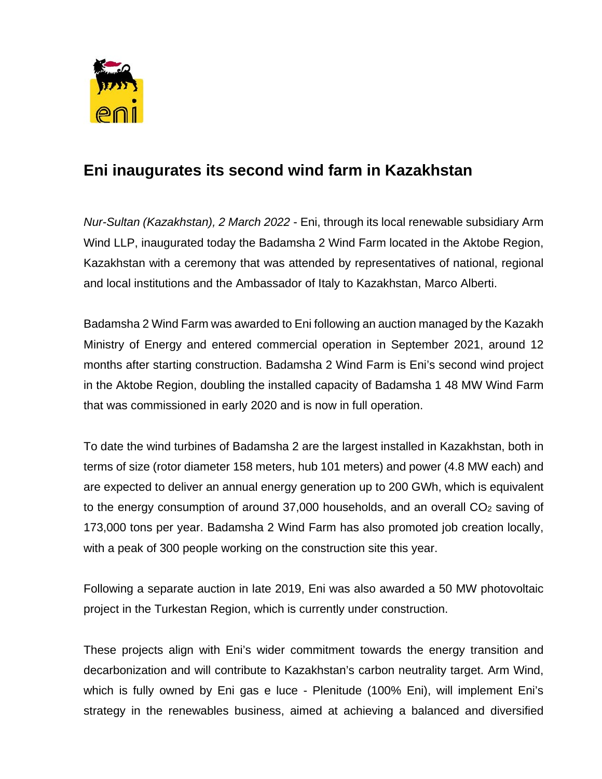

## **Eni inaugurates its second wind farm in Kazakhstan**

*Nur-Sultan (Kazakhstan), 2 March 2022* - Eni, through its local renewable subsidiary Arm Wind LLP, inaugurated today the Badamsha 2 Wind Farm located in the Aktobe Region, Kazakhstan with a ceremony that was attended by representatives of national, regional and local institutions and the Ambassador of Italy to Kazakhstan, Marco Alberti.

Badamsha 2 Wind Farm was awarded to Eni following an auction managed by the Kazakh Ministry of Energy and entered commercial operation in September 2021, around 12 months after starting construction. Badamsha 2 Wind Farm is Eni's second wind project in the Aktobe Region, doubling the installed capacity of Badamsha 1 48 MW Wind Farm that was commissioned in early 2020 and is now in full operation.

To date the wind turbines of Badamsha 2 are the largest installed in Kazakhstan, both in terms of size (rotor diameter 158 meters, hub 101 meters) and power (4.8 MW each) and are expected to deliver an annual energy generation up to 200 GWh, which is equivalent to the energy consumption of around 37,000 households, and an overall  $CO<sub>2</sub>$  saving of 173,000 tons per year. Badamsha 2 Wind Farm has also promoted job creation locally, with a peak of 300 people working on the construction site this year.

Following a separate auction in late 2019, Eni was also awarded a 50 MW photovoltaic project in the Turkestan Region, which is currently under construction.

These projects align with Eni's wider commitment towards the energy transition and decarbonization and will contribute to Kazakhstan's carbon neutrality target. Arm Wind, which is fully owned by Eni gas e luce - Plenitude (100% Eni), will implement Eni's strategy in the renewables business, aimed at achieving a balanced and diversified